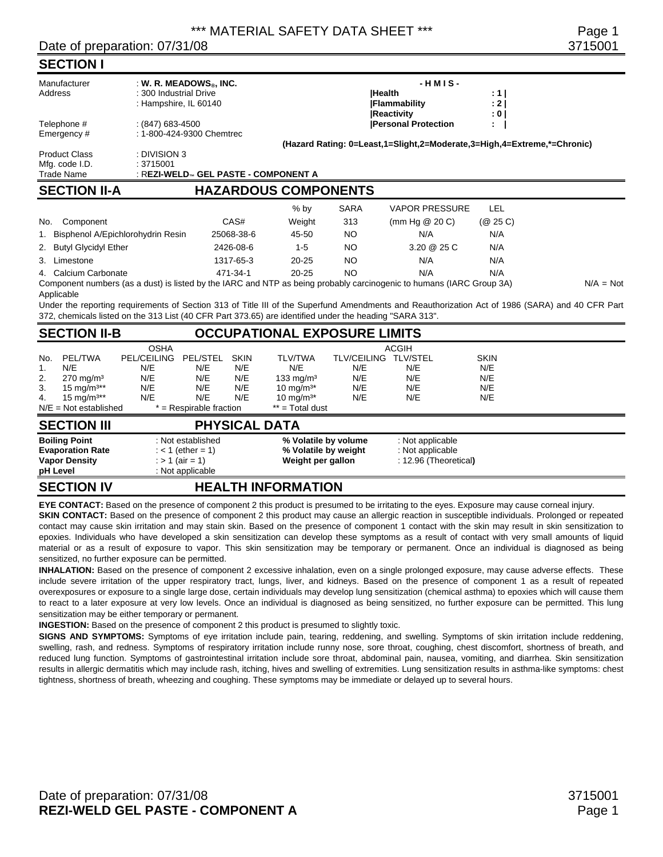#### Date of preparation: 07/31/08 3715001

|                                                                                                                                                                        | <b>SECTION I</b>                                            |                                      |            |             |                                                                                                         |                                                                                                             |                                                        |                       |                                                                                                                                                 |  |  |  |
|------------------------------------------------------------------------------------------------------------------------------------------------------------------------|-------------------------------------------------------------|--------------------------------------|------------|-------------|---------------------------------------------------------------------------------------------------------|-------------------------------------------------------------------------------------------------------------|--------------------------------------------------------|-----------------------|-------------------------------------------------------------------------------------------------------------------------------------------------|--|--|--|
| Manufacturer<br>: W. R. MEADOWS $_{\otimes}$ , INC.<br>Address<br>: 300 Industrial Drive<br>: Hampshire, IL 60140                                                      |                                                             |                                      |            |             |                                                                                                         | <b>Health</b>                                                                                               | $-HMIS -$<br><b>IFlammability</b><br><b>Reactivity</b> | : 1  <br>: 2  <br>: 0 |                                                                                                                                                 |  |  |  |
| Telephone #<br>$: (847) 683 - 4500$<br>: 1-800-424-9300 Chemtrec<br>Emergency#                                                                                         |                                                             |                                      |            |             |                                                                                                         | <b>Personal Protection</b><br>÷.<br>(Hazard Rating: 0=Least,1=Slight,2=Moderate,3=High,4=Extreme,*=Chronic) |                                                        |                       |                                                                                                                                                 |  |  |  |
|                                                                                                                                                                        | <b>Product Class</b><br>Mfg. code I.D.<br><b>Trade Name</b> | : DIVISION 3<br>:3715001             |            |             | : REZI-WELD™ GEL PASTE - COMPONENT A                                                                    |                                                                                                             |                                                        |                       |                                                                                                                                                 |  |  |  |
| <b>SECTION II-A</b><br><b>HAZARDOUS COMPONENTS</b>                                                                                                                     |                                                             |                                      |            |             |                                                                                                         |                                                                                                             |                                                        |                       |                                                                                                                                                 |  |  |  |
|                                                                                                                                                                        |                                                             |                                      |            |             | $%$ by                                                                                                  | <b>SARA</b>                                                                                                 | <b>VAPOR PRESSURE</b>                                  | LEL                   |                                                                                                                                                 |  |  |  |
| No.                                                                                                                                                                    | Component                                                   |                                      |            | CAS#        | Weight                                                                                                  | 313                                                                                                         | (mm Hg $@$ 20 C)                                       | (Q25C)                |                                                                                                                                                 |  |  |  |
|                                                                                                                                                                        |                                                             | 1. Bisphenol A/Epichlorohydrin Resin |            | 25068-38-6  | 45-50                                                                                                   | <b>NO</b>                                                                                                   | N/A                                                    | N/A                   |                                                                                                                                                 |  |  |  |
| 2.                                                                                                                                                                     | <b>Butyl Glycidyl Ether</b>                                 |                                      |            | 2426-08-6   | $1 - 5$                                                                                                 | <b>NO</b>                                                                                                   | 3.20 @ 25 C                                            | N/A                   |                                                                                                                                                 |  |  |  |
|                                                                                                                                                                        | 3. Limestone                                                |                                      |            | 1317-65-3   | $20 - 25$                                                                                               | <b>NO</b>                                                                                                   | N/A                                                    | N/A                   |                                                                                                                                                 |  |  |  |
| 4. Calcium Carbonate<br>471-34-1<br>Component numbers (as a dust) is listed by the IARC and NTP as being probably carcinogenic to humans (IARC Group 3A)<br>Applicable |                                                             |                                      |            |             | $20 - 25$                                                                                               | <b>NO</b>                                                                                                   | N/A                                                    | N/A                   | $N/A = Not$                                                                                                                                     |  |  |  |
|                                                                                                                                                                        |                                                             |                                      |            |             | 372, chemicals listed on the 313 List (40 CFR Part 373.65) are identified under the heading "SARA 313". |                                                                                                             |                                                        |                       | Under the reporting requirements of Section 313 of Title III of the Superfund Amendments and Reauthorization Act of 1986 (SARA) and 40 CFR Part |  |  |  |
|                                                                                                                                                                        | <b>SECTION II-B</b>                                         |                                      |            |             | <b>OCCUPATIONAL EXPOSURE LIMITS</b>                                                                     |                                                                                                             |                                                        |                       |                                                                                                                                                 |  |  |  |
|                                                                                                                                                                        |                                                             | <b>OSHA</b>                          |            |             |                                                                                                         |                                                                                                             | <b>ACGIH</b>                                           |                       |                                                                                                                                                 |  |  |  |
| No.                                                                                                                                                                    | <b>PEL/TWA</b>                                              | <b>PEL/CEILING</b>                   | PEL/STEL   | <b>SKIN</b> | <b>TLV/TWA</b>                                                                                          | TLV/CEILING TLV/STEL                                                                                        |                                                        | <b>SKIN</b>           |                                                                                                                                                 |  |  |  |
| 1.<br>2.                                                                                                                                                               | N/E<br>$270 \text{ mg/m}^3$                                 | N/E<br>N/E                           | N/E<br>N/E | N/E<br>N/E  | N/E<br>133 mg/m $3$                                                                                     | N/E<br>N/E                                                                                                  | N/E<br>N/E                                             | N/E<br>N/E            |                                                                                                                                                 |  |  |  |
| 3.                                                                                                                                                                     | 15 mg/m <sup>3**</sup>                                      | N/E                                  | N/E        | N/E         | 10 mg/m <sup>3*</sup>                                                                                   | N/E                                                                                                         | N/E                                                    | N/E                   |                                                                                                                                                 |  |  |  |
| 4.                                                                                                                                                                     | 15 mg/m <sup>3**</sup>                                      | N/E                                  | N/E        | N/E         | 10 mg/m <sup>3*</sup>                                                                                   | N/E                                                                                                         | N/E                                                    | N/E                   |                                                                                                                                                 |  |  |  |
| $N/E = Not established$<br>$*$ = Respirable fraction<br>$**$ = Total dust                                                                                              |                                                             |                                      |            |             |                                                                                                         |                                                                                                             |                                                        |                       |                                                                                                                                                 |  |  |  |

| <b>SECTION III</b>                                                                  | <b>PHYSICAL DATA</b>                                                              |                                                                   |                                                               |  |
|-------------------------------------------------------------------------------------|-----------------------------------------------------------------------------------|-------------------------------------------------------------------|---------------------------------------------------------------|--|
| <b>Boiling Point</b><br><b>Evaporation Rate</b><br><b>Vapor Density</b><br>pH Level | : Not established<br>$:$ < 1 (ether = 1)<br>$:$ > 1 (air = 1)<br>: Not applicable | % Volatile by volume<br>% Volatile by weight<br>Weight per gallon | : Not applicable<br>: Not applicable<br>: 12.96 (Theoretical) |  |
|                                                                                     |                                                                                   |                                                                   |                                                               |  |

#### **SECTION IV HEALTH INFORMATION**

**EYE CONTACT:** Based on the presence of component 2 this product is presumed to be irritating to the eyes. Exposure may cause corneal injury.

**SKIN CONTACT:** Based on the presence of component 2 this product may cause an allergic reaction in susceptible individuals. Prolonged or repeated contact may cause skin irritation and may stain skin. Based on the presence of component 1 contact with the skin may result in skin sensitization to epoxies. Individuals who have developed a skin sensitization can develop these symptoms as a result of contact with very small amounts of liquid material or as a result of exposure to vapor. This skin sensitization may be temporary or permanent. Once an individual is diagnosed as being sensitized, no further exposure can be permitted.

**INHALATION:** Based on the presence of component 2 excessive inhalation, even on a single prolonged exposure, may cause adverse effects. These include severe irritation of the upper respiratory tract, lungs, liver, and kidneys. Based on the presence of component 1 as a result of repeated overexposures or exposure to a single large dose, certain individuals may develop lung sensitization (chemical asthma) to epoxies which will cause them to react to a later exposure at very low levels. Once an individual is diagnosed as being sensitized, no further exposure can be permitted. This lung sensitization may be either temporary or permanent.

**INGESTION:** Based on the presence of component 2 this product is presumed to slightly toxic.

**SIGNS AND SYMPTOMS:** Symptoms of eye irritation include pain, tearing, reddening, and swelling. Symptoms of skin irritation include reddening, swelling, rash, and redness. Symptoms of respiratory irritation include runny nose, sore throat, coughing, chest discomfort, shortness of breath, and reduced lung function. Symptoms of gastrointestinal irritation include sore throat, abdominal pain, nausea, vomiting, and diarrhea. Skin sensitization results in allergic dermatitis which may include rash, itching, hives and swelling of extremities. Lung sensitization results in asthma-like symptoms: chest tightness, shortness of breath, wheezing and coughing. These symptoms may be immediate or delayed up to several hours.